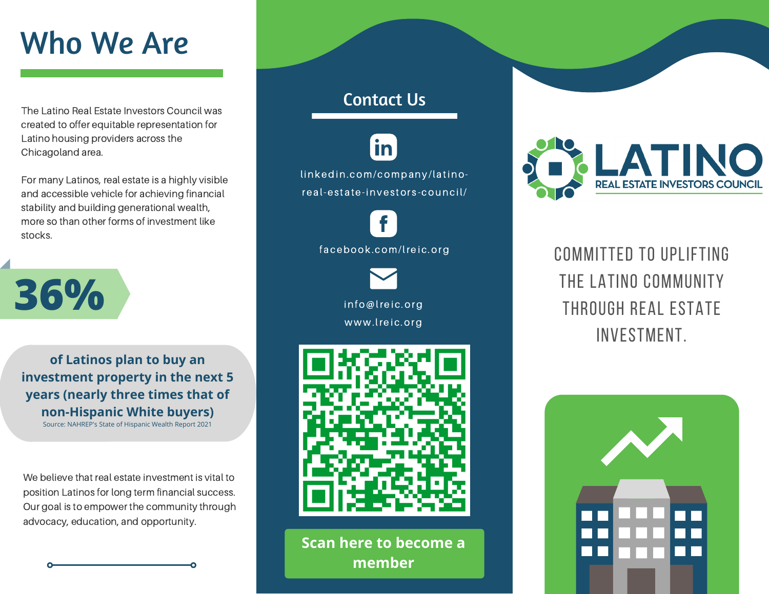# Who We Are

The Latino Real Estate Investors Council was created to offer equitable representation for Latino housing providers across the Chicagoland area.

For many Latinos, real estate is a highly visible and accessible vehicle for achieving financial stability and building generational wealth, more so than other forms of investment like stocks.



**of Latinos plan to buy an investment property in the next 5 years (nearly three times that of non-Hispanic White buyers)**

Source: [NAHREP's State of Hispanic Wealth](https://hispanicwealthproject.org/annual-report/) Report 2021

We believe that real estate investment is vital to position Latinos for long term financial success. Our goal is to empower the community through advocacy, education, and opportunity.

### Contact Us

linkedin.com/company/latinoreal-estate-investors-council/

**in** 

info@lreic.org facebook.com/lreic.org

www.lreic.org



**Scan here to become a member**



COMMITTED TO UPLIFTING THE LATINO COMMUNITY through real estate investment.